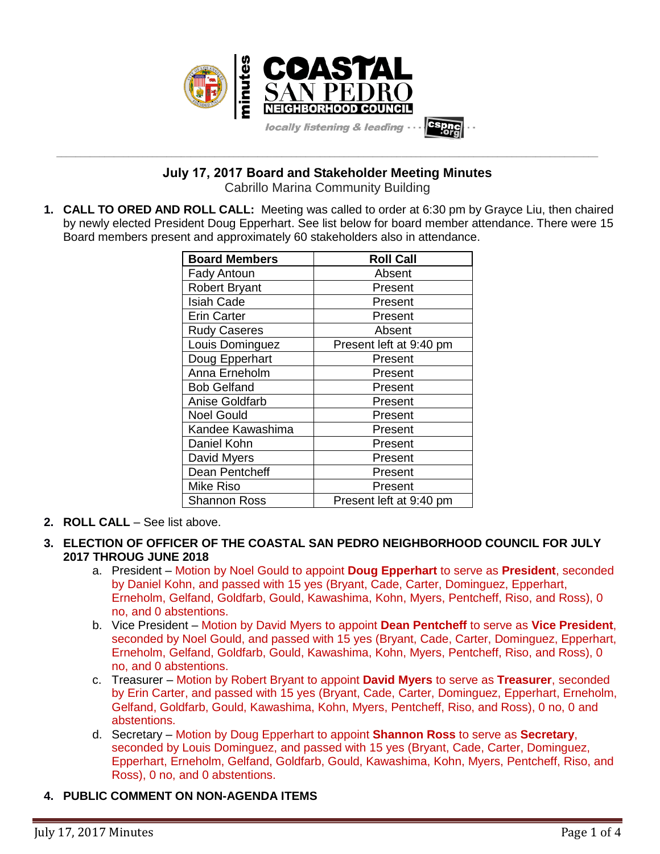

**\_\_\_\_\_\_\_\_\_\_\_\_\_\_\_\_\_\_\_\_\_\_\_\_\_\_\_\_\_\_\_\_\_\_\_\_\_\_\_\_\_\_\_\_\_\_\_\_\_\_\_\_\_\_\_\_\_\_\_\_\_\_\_\_\_\_\_\_\_\_\_\_\_\_\_\_\_\_\_\_\_\_\_\_\_\_\_\_\_\_\_\_\_\_\_\_\_\_\_\_\_\_\_\_\_\_\_\_\_\_\_\_\_ July 17, 2017 Board and Stakeholder Meeting Minutes**

Cabrillo Marina Community Building

**1. CALL TO ORED AND ROLL CALL:** Meeting was called to order at 6:30 pm by Grayce Liu, then chaired by newly elected President Doug Epperhart. See list below for board member attendance. There were 15 Board members present and approximately 60 stakeholders also in attendance.

| <b>Board Members</b> | <b>Roll Call</b>        |
|----------------------|-------------------------|
| <b>Fady Antoun</b>   | Absent                  |
| <b>Robert Bryant</b> | Present                 |
| <b>Isiah Cade</b>    | Present                 |
| <b>Erin Carter</b>   | Present                 |
| <b>Rudy Caseres</b>  | Absent                  |
| Louis Dominguez      | Present left at 9:40 pm |
| Doug Epperhart       | Present                 |
| Anna Erneholm        | Present                 |
| <b>Bob Gelfand</b>   | Present                 |
| Anise Goldfarb       | Present                 |
| <b>Noel Gould</b>    | Present                 |
| Kandee Kawashima     | Present                 |
| Daniel Kohn          | Present                 |
| David Myers          | Present                 |
| Dean Pentcheff       | Present                 |
| Mike Riso            | Present                 |
| <b>Shannon Ross</b>  | Present left at 9:40 pm |

- **2. ROLL CALL** See list above.
- **3. ELECTION OF OFFICER OF THE COASTAL SAN PEDRO NEIGHBORHOOD COUNCIL FOR JULY 2017 THROUG JUNE 2018**
	- a. President Motion by Noel Gould to appoint **Doug Epperhart** to serve as **President**, seconded by Daniel Kohn, and passed with 15 yes (Bryant, Cade, Carter, Dominguez, Epperhart, Erneholm, Gelfand, Goldfarb, Gould, Kawashima, Kohn, Myers, Pentcheff, Riso, and Ross), 0 no, and 0 abstentions.
	- b. Vice President Motion by David Myers to appoint **Dean Pentcheff** to serve as **Vice President**, seconded by Noel Gould, and passed with 15 yes (Bryant, Cade, Carter, Dominguez, Epperhart, Erneholm, Gelfand, Goldfarb, Gould, Kawashima, Kohn, Myers, Pentcheff, Riso, and Ross), 0 no, and 0 abstentions.
	- c. Treasurer Motion by Robert Bryant to appoint **David Myers** to serve as **Treasurer**, seconded by Erin Carter, and passed with 15 yes (Bryant, Cade, Carter, Dominguez, Epperhart, Erneholm, Gelfand, Goldfarb, Gould, Kawashima, Kohn, Myers, Pentcheff, Riso, and Ross), 0 no, 0 and abstentions.
	- d. Secretary Motion by Doug Epperhart to appoint **Shannon Ross** to serve as **Secretary**, seconded by Louis Dominguez, and passed with 15 yes (Bryant, Cade, Carter, Dominguez, Epperhart, Erneholm, Gelfand, Goldfarb, Gould, Kawashima, Kohn, Myers, Pentcheff, Riso, and Ross), 0 no, and 0 abstentions.

# **4. PUBLIC COMMENT ON NON-AGENDA ITEMS**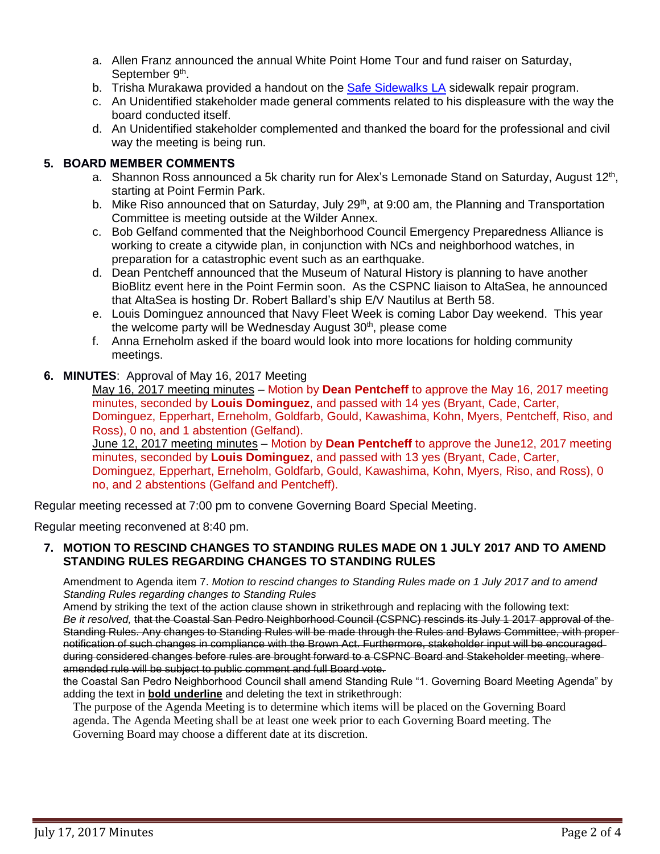- a. Allen Franz announced the annual White Point Home Tour and fund raiser on Saturday, September 9<sup>th</sup>.
- b. Trisha Murakawa provided a handout on the [Safe Sidewalks](http://www.sidewalks.lacity.org/) LA sidewalk repair program.
- c. An Unidentified stakeholder made general comments related to his displeasure with the way the board conducted itself.
- d. An Unidentified stakeholder complemented and thanked the board for the professional and civil way the meeting is being run.

### **5. BOARD MEMBER COMMENTS**

- a. Shannon Ross announced a 5k charity run for Alex's Lemonade Stand on Saturday, August  $12<sup>th</sup>$ , starting at Point Fermin Park.
- b. Mike Riso announced that on Saturday, July 29<sup>th</sup>, at 9:00 am, the Planning and Transportation Committee is meeting outside at the Wilder Annex.
- c. Bob Gelfand commented that the Neighborhood Council Emergency Preparedness Alliance is working to create a citywide plan, in conjunction with NCs and neighborhood watches, in preparation for a catastrophic event such as an earthquake.
- d. Dean Pentcheff announced that the Museum of Natural History is planning to have another BioBlitz event here in the Point Fermin soon. As the CSPNC liaison to AltaSea, he announced that AltaSea is hosting Dr. Robert Ballard's ship E/V Nautilus at Berth 58.
- e. Louis Dominguez announced that Navy Fleet Week is coming Labor Day weekend. This year the welcome party will be Wednesday August 30<sup>th</sup>, please come
- f. Anna Erneholm asked if the board would look into more locations for holding community meetings.
- **6. MINUTES**: Approval of May 16, 2017 Meeting

May 16, 2017 meeting minutes – Motion by **Dean Pentcheff** to approve the May 16, 2017 meeting minutes, seconded by **Louis Dominguez**, and passed with 14 yes (Bryant, Cade, Carter, Dominguez, Epperhart, Erneholm, Goldfarb, Gould, Kawashima, Kohn, Myers, Pentcheff, Riso, and Ross), 0 no, and 1 abstention (Gelfand).

June 12, 2017 meeting minutes – Motion by **Dean Pentcheff** to approve the June12, 2017 meeting minutes, seconded by **Louis Dominguez**, and passed with 13 yes (Bryant, Cade, Carter, Dominguez, Epperhart, Erneholm, Goldfarb, Gould, Kawashima, Kohn, Myers, Riso, and Ross), 0 no, and 2 abstentions (Gelfand and Pentcheff).

Regular meeting recessed at 7:00 pm to convene Governing Board Special Meeting.

Regular meeting reconvened at 8:40 pm.

### **7. MOTION TO RESCIND CHANGES TO STANDING RULES MADE ON 1 JULY 2017 AND TO AMEND STANDING RULES REGARDING CHANGES TO STANDING RULES**

Amendment to Agenda item 7. *Motion to rescind changes to Standing Rules made on 1 July 2017 and to amend Standing Rules regarding changes to Standing Rules*

Amend by striking the text of the action clause shown in strikethrough and replacing with the following text: *Be it resolved,* that the Coastal San Pedro Neighborhood Council (CSPNC) rescinds its July 1 2017 approval of the Standing Rules. Any changes to Standing Rules will be made through the Rules and Bylaws Committee, with proper notification of such changes in compliance with the Brown Act. Furthermore, stakeholder input will be encouraged during considered changes before rules are brought forward to a CSPNC Board and Stakeholder meeting, where amended rule will be subject to public comment and full Board vote.

the Coastal San Pedro Neighborhood Council shall amend Standing Rule "1. Governing Board Meeting Agenda" by adding the text in **bold underline** and deleting the text in strikethrough:

The purpose of the Agenda Meeting is to determine which items will be placed on the Governing Board agenda. The Agenda Meeting shall be at least one week prior to each Governing Board meeting. The Governing Board may choose a different date at its discretion.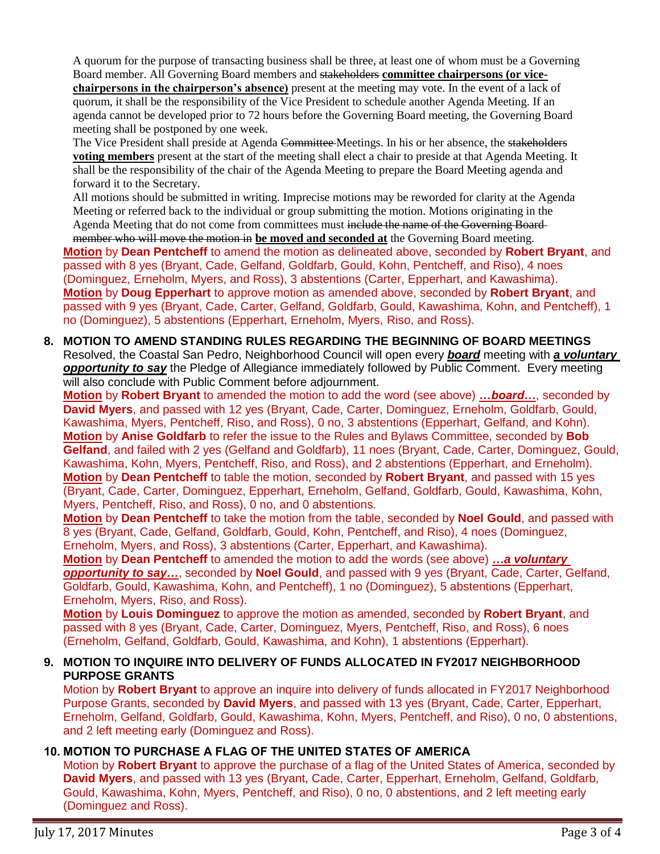A quorum for the purpose of transacting business shall be three, at least one of whom must be a Governing Board member. All Governing Board members and stakeholders **committee chairpersons (or vicechairpersons in the chairperson's absence)** present at the meeting may vote. In the event of a lack of quorum, it shall be the responsibility of the Vice President to schedule another Agenda Meeting. If an agenda cannot be developed prior to 72 hours before the Governing Board meeting, the Governing Board meeting shall be postponed by one week.

The Vice President shall preside at Agenda Committee Meetings. In his or her absence, the stakeholders **voting members** present at the start of the meeting shall elect a chair to preside at that Agenda Meeting. It shall be the responsibility of the chair of the Agenda Meeting to prepare the Board Meeting agenda and forward it to the Secretary.

All motions should be submitted in writing. Imprecise motions may be reworded for clarity at the Agenda Meeting or referred back to the individual or group submitting the motion. Motions originating in the Agenda Meeting that do not come from committees must include the name of the Governing Board-

member who will move the motion in **be moved and seconded at** the Governing Board meeting. **Motion** by **Dean Pentcheff** to amend the motion as delineated above, seconded by **Robert Bryant**, and passed with 8 yes (Bryant, Cade, Gelfand, Goldfarb, Gould, Kohn, Pentcheff, and Riso), 4 noes (Dominguez, Erneholm, Myers, and Ross), 3 abstentions (Carter, Epperhart, and Kawashima). **Motion** by **Doug Epperhart** to approve motion as amended above, seconded by **Robert Bryant**, and passed with 9 yes (Bryant, Cade, Carter, Gelfand, Goldfarb, Gould, Kawashima, Kohn, and Pentcheff), 1 no (Dominguez), 5 abstentions (Epperhart, Erneholm, Myers, Riso, and Ross).

**8. MOTION TO AMEND STANDING RULES REGARDING THE BEGINNING OF BOARD MEETINGS** Resolved, the Coastal San Pedro, Neighborhood Council will open every *board* meeting with *a voluntary opportunity to say* the Pledge of Allegiance immediately followed by Public Comment. Every meeting will also conclude with Public Comment before adjournment.

**Motion** by **Robert Bryant** to amended the motion to add the word (see above) *…board…*, seconded by **David Myers**, and passed with 12 yes (Bryant, Cade, Carter, Dominguez, Erneholm, Goldfarb, Gould, Kawashima, Myers, Pentcheff, Riso, and Ross), 0 no, 3 abstentions (Epperhart, Gelfand, and Kohn). **Motion** by **Anise Goldfarb** to refer the issue to the Rules and Bylaws Committee, seconded by **Bob**  Gelfand, and failed with 2 yes (Gelfand and Goldfarb), 11 noes (Bryant, Cade, Carter, Dominguez, Gould, Kawashima, Kohn, Myers, Pentcheff, Riso, and Ross), and 2 abstentions (Epperhart, and Erneholm). **Motion** by **Dean Pentcheff** to table the motion, seconded by **Robert Bryant**, and passed with 15 yes (Bryant, Cade, Carter, Dominguez, Epperhart, Erneholm, Gelfand, Goldfarb, Gould, Kawashima, Kohn, Myers, Pentcheff, Riso, and Ross), 0 no, and 0 abstentions.

**Motion** by **Dean Pentcheff** to take the motion from the table, seconded by **Noel Gould**, and passed with 8 yes (Bryant, Cade, Gelfand, Goldfarb, Gould, Kohn, Pentcheff, and Riso), 4 noes (Dominguez, Erneholm, Myers, and Ross), 3 abstentions (Carter, Epperhart, and Kawashima).

**Motion** by **Dean Pentcheff** to amended the motion to add the words (see above) *…a voluntary opportunity to say…*, seconded by **Noel Gould**, and passed with 9 yes (Bryant, Cade, Carter, Gelfand, Goldfarb, Gould, Kawashima, Kohn, and Pentcheff), 1 no (Dominguez), 5 abstentions (Epperhart, Erneholm, Myers, Riso, and Ross).

**Motion** by **Louis Dominguez** to approve the motion as amended, seconded by **Robert Bryant**, and passed with 8 yes (Bryant, Cade, Carter, Dominguez, Myers, Pentcheff, Riso, and Ross), 6 noes (Erneholm, Gelfand, Goldfarb, Gould, Kawashima, and Kohn), 1 abstentions (Epperhart).

### **9. MOTION TO INQUIRE INTO DELIVERY OF FUNDS ALLOCATED IN FY2017 NEIGHBORHOOD PURPOSE GRANTS**

Motion by **Robert Bryant** to approve an inquire into delivery of funds allocated in FY2017 Neighborhood Purpose Grants, seconded by **David Myers**, and passed with 13 yes (Bryant, Cade, Carter, Epperhart, Erneholm, Gelfand, Goldfarb, Gould, Kawashima, Kohn, Myers, Pentcheff, and Riso), 0 no, 0 abstentions, and 2 left meeting early (Dominguez and Ross).

# **10. MOTION TO PURCHASE A FLAG OF THE UNITED STATES OF AMERICA**

Motion by **Robert Bryant** to approve the purchase of a flag of the United States of America, seconded by **David Myers**, and passed with 13 yes (Bryant, Cade, Carter, Epperhart, Erneholm, Gelfand, Goldfarb, Gould, Kawashima, Kohn, Myers, Pentcheff, and Riso), 0 no, 0 abstentions, and 2 left meeting early (Dominguez and Ross).